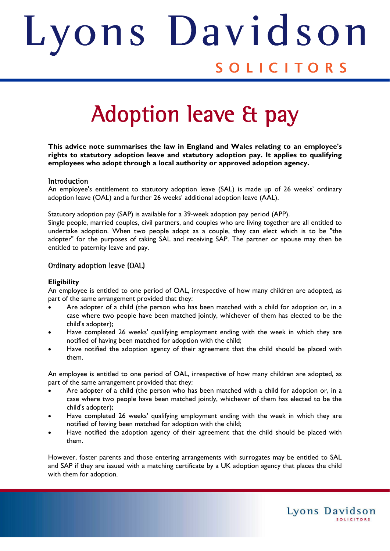# ons Davids Judith SOLICITORS

# Adoption leave & pay

**This advice note summarises the law in England and Wales relating to an employee's rights to statutory adoption leave and statutory adoption pay. It applies to qualifying employees who adopt through a local authority or approved adoption agency.** 

### **Introduction**

An employee's entitlement to statutory adoption leave (SAL) is made up of 26 weeks' ordinary adoption leave (OAL) and a further 26 weeks' additional adoption leave (AAL).

Statutory adoption pay (SAP) is available for a 39-week adoption pay period (APP).

Single people, married couples, civil partners, and couples who are living together are all entitled to undertake adoption. When two people adopt as a couple, they can elect which is to be "the adopter" for the purposes of taking SAL and receiving SAP. The partner or spouse may then be entitled to paternity leave and pay.

## Ordinary adoption leave (OAL)

#### **Eligibility**

An employee is entitled to one period of OAL, irrespective of how many children are adopted, as part of the same arrangement provided that they:

- Are adopter of a child (the person who has been matched with a child for adoption or, in a case where two people have been matched jointly, whichever of them has elected to be the child's adopter);
- Have completed 26 weeks' qualifying employment ending with the week in which they are notified of having been matched for adoption with the child;
- Have notified the adoption agency of their agreement that the child should be placed with them.

An employee is entitled to one period of OAL, irrespective of how many children are adopted, as part of the same arrangement provided that they:

- Are adopter of a child (the person who has been matched with a child for adoption or, in a case where two people have been matched jointly, whichever of them has elected to be the child's adopter);
- Have completed 26 weeks' qualifying employment ending with the week in which they are notified of having been matched for adoption with the child;
- Have notified the adoption agency of their agreement that the child should be placed with them.

However, foster parents and those entering arrangements with surrogates may be entitled to SAL and SAP if they are issued with a matching certificate by a UK adoption agency that places the child with them for adoption.

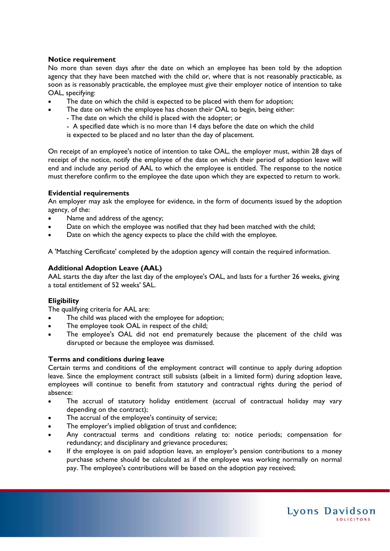#### **Notice requirement**

No more than seven days after the date on which an employee has been told by the adoption agency that they have been matched with the child or, where that is not reasonably practicable, as soon as is reasonably practicable, the employee must give their employer notice of intention to take OAL, specifying:

- The date on which the child is expected to be placed with them for adoption;
	- The date on which the employee has chosen their OAL to begin, being either:
		- The date on which the child is placed with the adopter; or
		- A specified date which is no more than 14 days before the date on which the child

is expected to be placed and no later than the day of placement.

On receipt of an employee's notice of intention to take OAL, the employer must, within 28 days of receipt of the notice, notify the employee of the date on which their period of adoption leave will end and include any period of AAL to which the employee is entitled. The response to the notice must therefore confirm to the employee the date upon which they are expected to return to work.

#### **Evidential requirements**

An employer may ask the employee for evidence, in the form of documents issued by the adoption agency, of the:

- Name and address of the agency;
- Date on which the employee was notified that they had been matched with the child;
- Date on which the agency expects to place the child with the employee.

A 'Matching Certificate' completed by the adoption agency will contain the required information.

#### **Additional Adoption Leave (AAL)**

AAL starts the day after the last day of the employee's OAL, and lasts for a further 26 weeks, giving a total entitlement of 52 weeks' SAL.

### **Eligibility**

The qualifying criteria for AAL are:

- The child was placed with the employee for adoption;
- The employee took OAL in respect of the child;
- The employee's OAL did not end prematurely because the placement of the child was disrupted or because the employee was dismissed.

#### **Terms and conditions during leave**

Certain terms and conditions of the employment contract will continue to apply during adoption leave. Since the employment contract still subsists (albeit in a limited form) during adoption leave, employees will continue to benefit from statutory and contractual rights during the period of absence:

- The accrual of statutory holiday entitlement (accrual of contractual holiday may vary depending on the contract);
- The accrual of the employee's continuity of service;
- The employer's implied obligation of trust and confidence;
- Any contractual terms and conditions relating to: notice periods; compensation for redundancy; and disciplinary and grievance procedures;
- If the employee is on paid adoption leave, an employer's pension contributions to a money purchase scheme should be calculated as if the employee was working normally on normal pay. The employee's contributions will be based on the adoption pay received;

Lyons Davidson

**SOLICITORS**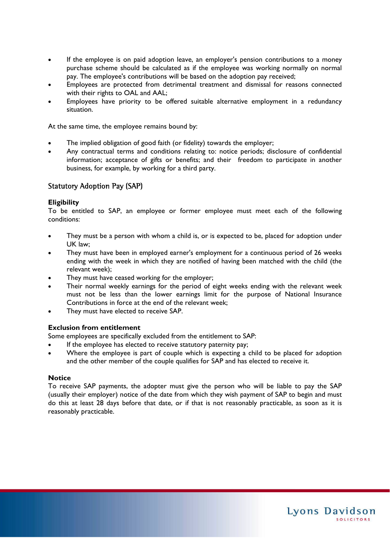- If the employee is on paid adoption leave, an employer's pension contributions to a money purchase scheme should be calculated as if the employee was working normally on normal pay. The employee's contributions will be based on the adoption pay received;
- Employees are protected from detrimental treatment and dismissal for reasons connected with their rights to OAL and AAL;
- Employees have priority to be offered suitable alternative employment in a redundancy situation.

At the same time, the employee remains bound by:

- The implied obligation of good faith (or fidelity) towards the employer;
- Any contractual terms and conditions relating to: notice periods; disclosure of confidential information; acceptance of gifts or benefits; and their freedom to participate in another business, for example, by working for a third party.

# Statutory Adoption Pay (SAP)

#### **Eligibility**

To be entitled to SAP, an employee or former employee must meet each of the following conditions:

- They must be a person with whom a child is, or is expected to be, placed for adoption under UK law;
- They must have been in employed earner's employment for a continuous period of 26 weeks ending with the week in which they are notified of having been matched with the child (the relevant week);
- They must have ceased working for the employer;
- Their normal weekly earnings for the period of eight weeks ending with the relevant week must not be less than the lower earnings limit for the purpose of National Insurance Contributions in force at the end of the relevant week;
- They must have elected to receive SAP.

### **Exclusion from entitlement**

Some employees are specifically excluded from the entitlement to SAP:

- If the employee has elected to receive statutory paternity pay;
- Where the employee is part of couple which is expecting a child to be placed for adoption and the other member of the couple qualifies for SAP and has elected to receive it.

### **Notice**

To receive SAP payments, the adopter must give the person who will be liable to pay the SAP (usually their employer) notice of the date from which they wish payment of SAP to begin and must do this at least 28 days before that date, or if that is not reasonably practicable, as soon as it is reasonably practicable.

Lyons Davidson

**SOLICITORS**